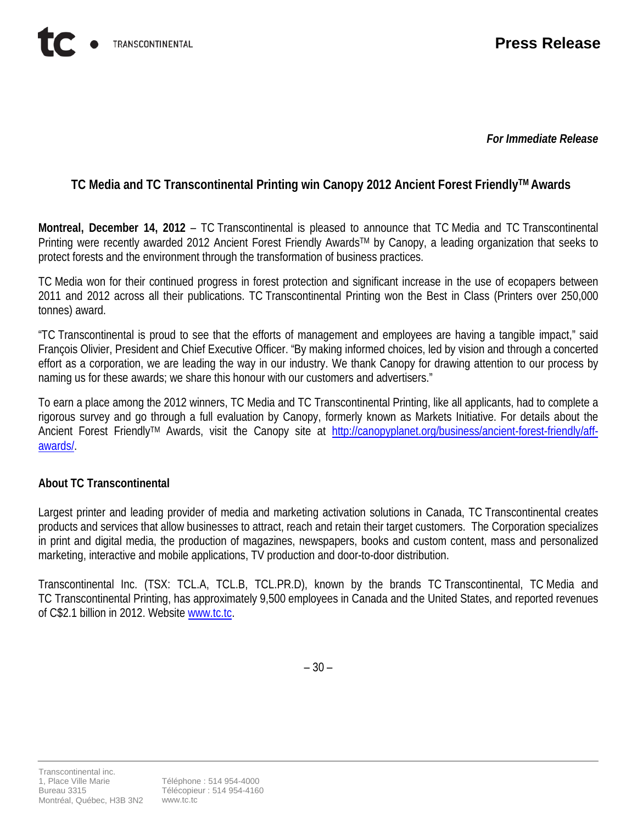*For Immediate Release*

## **TC Media and TC Transcontinental Printing win Canopy 2012 Ancient Forest FriendlyTM Awards**

**Montreal, December 14, 2012** – TC Transcontinental is pleased to announce that TC Media and TC Transcontinental Printing were recently awarded 2012 Ancient Forest Friendly Awards™ by Canopy, a leading organization that seeks to protect forests and the environment through the transformation of business practices.

TC Media won for their continued progress in forest protection and significant increase in the use of ecopapers between 2011 and 2012 across all their publications. TC Transcontinental Printing won the Best in Class (Printers over 250,000 tonnes) award.

"TC Transcontinental is proud to see that the efforts of management and employees are having a tangible impact," said François Olivier, President and Chief Executive Officer. "By making informed choices, led by vision and through a concerted effort as a corporation, we are leading the way in our industry. We thank Canopy for drawing attention to our process by naming us for these awards; we share this honour with our customers and advertisers."

To earn a place among the 2012 winners, TC Media and TC Transcontinental Printing, like all applicants, had to complete a rigorous survey and go through a full evaluation by Canopy, formerly known as Markets Initiative. For details about the Ancient Forest Friendly™ Awards, visit the Canopy site at [http://canopyplanet.org/business/ancient-forest-friendly/aff](http://canopyplanet.org/business/ancient-forest-friendly/aff-awards/)[awards/.](http://canopyplanet.org/business/ancient-forest-friendly/aff-awards/)

## **About TC Transcontinental**

Largest printer and leading provider of media and marketing activation solutions in Canada, TC Transcontinental creates products and services that allow businesses to attract, reach and retain their target customers. The Corporation specializes in print and digital media, the production of magazines, newspapers, books and custom content, mass and personalized marketing, interactive and mobile applications, TV production and door-to-door distribution.

Transcontinental Inc. (TSX: TCL.A, TCL.B, TCL.PR.D), known by the brands TC Transcontinental, TC Media and TC Transcontinental Printing, has approximately 9,500 employees in Canada and the United States, and reported revenues of C\$2.1 billion in 2012. Website [www.tc.tc.](http://www.tc.tc/)

– 30 –